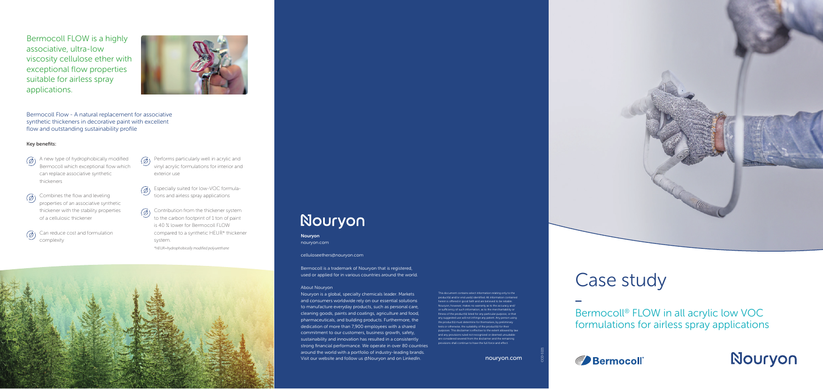

Bermocoll FLOW is a highly associative, ultra-low viscosity cellulose ether with exceptional flow properties suitable for airless spray applications.



## Key benefits:

- $\circled{a}$ ) A new type of hydrophobically modified Bermocoll which exceptional flow which can replace associative synthetic thickeners
- Combines the flow and leveling  $(\mathscr{D})$ properties of an associative synthetic thickener with the stability properties of a cellulosic thickener
- $\circledR$  Can reduce cost and formulation complexity
- $\circled{2}$ ) Performs particularly well in acrylic and vinyl acrylic formulations for interior and exterior use
- Especially suited for low-VOC formula- $\circledR$ tions and airless spray applications
- $\circled{c}$  Contribution from the thickener system to the carbon footprint of 1 ton of paint is 40 % lower for Bermocoll FLOW compared to a synthetic HEUR\* thickener system.

Nouryon is a global, specialty chemicals leader. Markets and consumers worldwide rely on our essential solutions to manufacture everyday products, such as personal care, cleaning goods, paints and coatings, agriculture and food, pharmaceuticals, and building products. Furthermore, the dedication of more than 7,900 employees with a shared commitment to our customers, business growth, safety, sustainability and innovation has resulted in a consistently strong financial performance. We operate in over 80 countries around the world with a portfolio of industry-leading brands. Visit our website and follow us @Nouryon and on LinkedIn. Now we have now the unit of the nouryon.com

*\*HEUR=hydrophobically modified polyurethane*



# Nouryon

Bermocoll Flow - A natural replacement for associative synthetic thickeners in decorative paint with excellent flow and outstanding sustainability profile

> herein is offered in good faith and are believed to be reliable. Nouryon, however, makes no warranty as to the accuracy and/ or sufficiency of such information, as to the merchantability or fitness of the product(s) listed for any particular purpose, or that any suggested use will not infringe any patent. Any person using the product(s) must determine for themselves, by preliminary tests or otherwise, the suitability of the product(s) for their purposes. This disclaimer is effective to the extent allowed by law and any provisions ruled not recognized or deemed unsuitable are considered severed from the disclaimer and the remaining shall continue to have the full force and effect

Bermocoll® FLOW in all acrylic low VOC formulations for airless spray applications





CCD 0221

Nouryon nouryon.com

celluloseethers@nouryon.com

Bermocoll is a trademark of Nouryon that is registered, used or applied for in various countries around the world.

### About Nouryon

This document contains select information relating only to the product(s) and/or end use(s) identified. All information contained